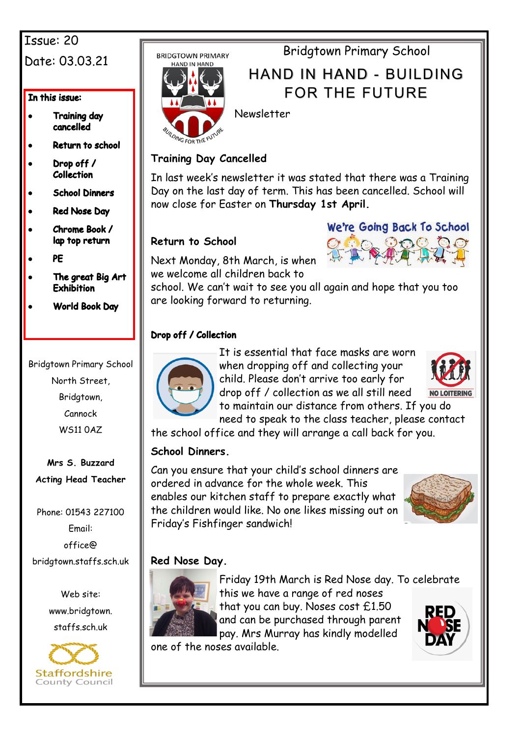## Issue: 20 Date: 03.03.21

In this issue:

- **Training day** cancelled
- Return to school
- Drop off / **Collection**
- **School Dinners**
- **Red Nose Day**
- Chrome Book / lap top return
- PE
- The great Big Art **Exhibition**
- **World Book Day**

Bridgtown Primary School North Street, Bridgtown, Cannock WS11 0AZ

**Mrs S. Buzzard Acting Head Teacher**

Phone: 01543 227100 Email: office@ bridgtown.staffs.sch.uk

> Web site: www.bridgtown. staffs.sch.uk



**BRIDGTOWN PRIMARY** 



Bridgtown Primary School

# HAND IN HAND - BUILDING FOR THE FUTURE

Newsletter

### **Training Day Cancelled**

In last week's newsletter it was stated that there was a Training Day on the last day of term. This has been cancelled. School will now close for Easter on **Thursday 1st April.**

### **Return to School**



Next Monday, 8th March, is when we welcome all children back to

school. We can't wait to see you all again and hope that you too are looking forward to returning.

### Drop off / Collection



It is essential that face masks are worn when dropping off and collecting your child. Please don't arrive too early for drop off / collection as we all still need



to maintain our distance from others. If you do need to speak to the class teacher, please contact the school office and they will arrange a call back for you.

### **School Dinners.**

Can you ensure that your child's school dinners are ordered in advance for the whole week. This enables our kitchen staff to prepare exactly what the children would like. No one likes missing out on Friday's Fishfinger sandwich!



### **Red Nose Day.**



Friday 19th March is Red Nose day. To celebrate this we have a range of red noses that you can buy. Noses cost £1.50 and can be purchased through parent pay. Mrs Murray has kindly modelled

one of the noses available.